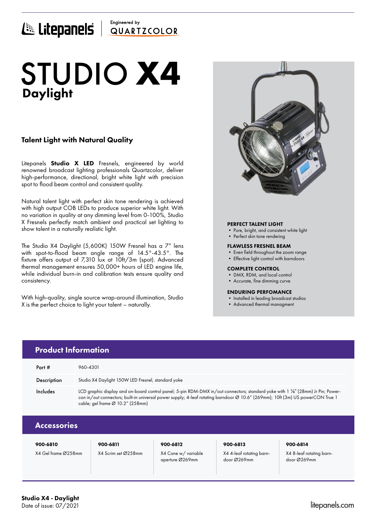## Engineered by E Litepanels QUARTICOLOR

# Daylight STUDIO **X4**

### Talent Light with Natural Quality

Litepanels **Studio X LED** Fresnels, engineered by world renowned broadcast lighting professionals Quartzcolor, deliver high-performance, directional, bright white light with precision spot to flood beam control and consistent quality.

Natural talent light with perfect skin tone rendering is achieved with high output COB LEDs to produce superior white light. With no variation in quality at any dimming level from 0-100%, Studio X Fresnels perfectly match ambient and practical set lighting to show talent in a naturally realistic light.

The Studio X4 Daylight (5,600K) 150W Fresnel has a 7" lens with spot-to-flood beam angle range of 14.5°-43.5°. The fixture offers output of 7,310 lux at 10ft/3m (spot). Advanced thermal management ensures 50,000+ hours of LED engine life, while individual burn-in and calibration tests ensure quality and consistency.

With high-quality, single source wrap-around illumination, Studio X is the perfect choice to light your talent – naturally.



### PERFECT TALENT LIGHT

- Pure, bright, and consistent white light
- Perfect skin tone rendering

### FLAWLESS FRESNEL BEAM

- Even field throughout the zoom range
- Effective light control with barndoors

### COMPLETE CONTROL

- DMX, RDM, and local control
- Accurate, fine dimming curve

### ENDURING PERFOMANCE

- Installed in leading broadcast studios
- Advanced thermal managment

|                    | <b>Product Information</b>                                                                                                                                                                                                                                                                                         |          |          |          |  |
|--------------------|--------------------------------------------------------------------------------------------------------------------------------------------------------------------------------------------------------------------------------------------------------------------------------------------------------------------|----------|----------|----------|--|
| Part #             | 960-4301                                                                                                                                                                                                                                                                                                           |          |          |          |  |
| Description        | Studio X4 Daylight 150W LED Fresnel, standard yoke                                                                                                                                                                                                                                                                 |          |          |          |  |
| Includes           | LCD graphic display and on-board control panel; 5-pin RDM-DMX in/out connectors; standard yoke with 1 1/8" (28mm) Jr Pin; Power-<br>con in/out connectors; built-in universal power supply; 4-leaf rotating barndoor Ø 10.6" (269mm); 10ft (3m) US powerCON True 1<br>cable; gel frame $\varnothing$ 10.2" (258mm) |          |          |          |  |
| <b>Accessories</b> |                                                                                                                                                                                                                                                                                                                    |          |          |          |  |
| 900-6810           | 900-6811                                                                                                                                                                                                                                                                                                           | 900-6812 | 900-6813 | 900-6814 |  |

X4 Gel frame Ø258mm X4 Scrim set Ø258mm X4 Cone w/ variable

aperture Ø269mm

X4 4-leaf rotating barndoor Ø269mm

X4 8-leaf rotating barndoor Ø269mm